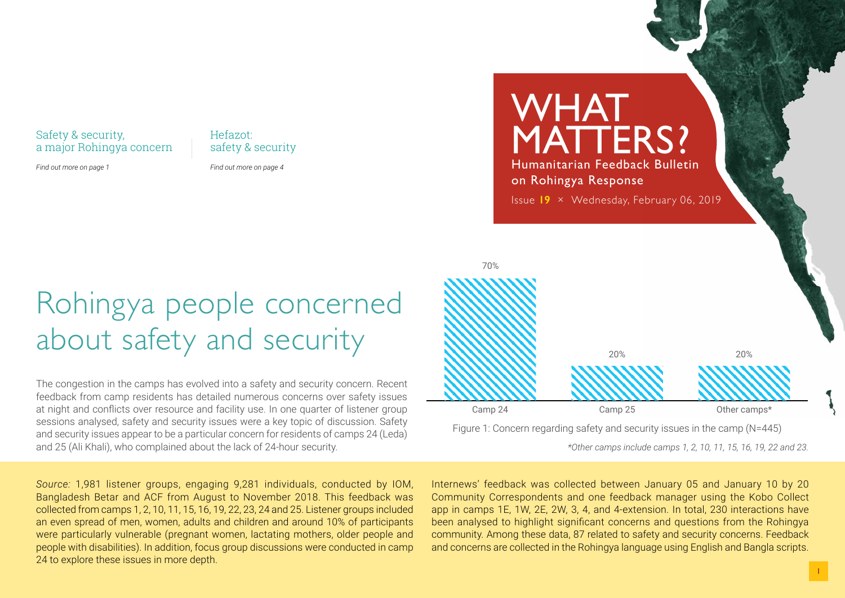Safety & security, a major Rohingya concern Hefazot: safety & security

*Find out more on page 1*

*Find out more on page 4*

## Rohingya people concerned about safety and security

The congestion in the camps has evolved into a safety and security concern. Recent feedback from camp residents has detailed numerous concerns over safety issues at night and conflicts over resource and facility use. In one quarter of listener group sessions analysed, safety and security issues were a key topic of discussion. Safety and security issues appear to be a particular concern for residents of camps 24 (Leda) and 25 (Ali Khali), who complained about the lack of 24-hour security.

*Source:* 1,981 listener groups, engaging 9,281 individuals, conducted by IOM, Bangladesh Betar and ACF from August to November 2018. This feedback was collected from camps 1, 2, 10, 11, 15, 16, 19, 22, 23, 24 and 25. Listener groups included an even spread of men, women, adults and children and around 10% of participants were particularly vulnerable (pregnant women, lactating mothers, older people and people with disabilities). In addition, focus group discussions were conducted in camp 24 to explore these issues in more depth.

WHAT MATTERS? Humanitarian Feedback Bulletin on Rohingya Response Issue **19** × Wednesday, February 06, 2019 70%



Figure 1: Concern regarding safety and security issues in the camp (N=445)

*\*Other camps include camps 1, 2, 10, 11, 15, 16, 19, 22 and 23.*

Internews' feedback was collected between January 05 and January 10 by 20 Community Correspondents and one feedback manager using the Kobo Collect app in camps 1E, 1W, 2E, 2W, 3, 4, and 4-extension. In total, 230 interactions have been analysed to highlight significant concerns and questions from the Rohingya community. Among these data, 87 related to safety and security concerns. Feedback and concerns are collected in the Rohingya language using English and Bangla scripts.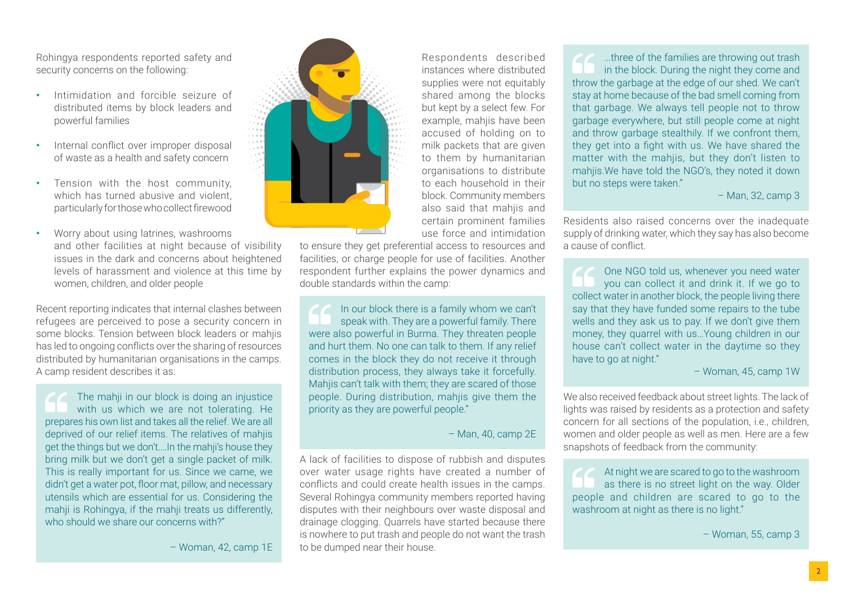Rohingya respondents reported safety and security concerns on the following:

- Intimidation and forcible seizure of distributed items by block leaders and powerful families
- Internal conflict over improper disposal of waste as a health and safety concern
- Tension with the host community, which has turned abusive and violent, particularly for those who collect firewood
- Worry about using latrines, washrooms and other facilities at night because of visibility issues in the dark and concerns about heightened levels of harassment and violence at this time by women, children, and older people

Recent reporting indicates that internal clashes between refugees are perceived to pose a security concern in some blocks. Tension between block leaders or mahjis has led to ongoing conflicts over the sharing of resources distributed by humanitarian organisations in the camps. A camp resident describes it as:

The mahji in our block is doing an injustice with us which we are not tolerating. He prepares his own list and takes all the relief. We are all deprived of our relief items. The relatives of mahjis get the things but we don't.…In the mahji's house they bring milk but we don't get a single packet of milk. This is really important for us. Since we came, we didn't get a water pot, floor mat, pillow, and necessary utensils which are essential for us. Considering the mahji is Rohingya, if the mahji treats us differently, who should we share our concerns with?"

– Woman, 42, camp 1E



Respondents described instances where distributed supplies were not equitably shared among the blocks but kept by a select few. For example, mahjis have been accused of holding on to milk packets that are given to them by humanitarian organisations to distribute to each household in their block. Community members also said that mahiis and certain prominent families use force and intimidation

to ensure they get preferential access to resources and facilities, or charge people for use of facilities. Another respondent further explains the power dynamics and double standards within the camp:

In our block there is a family whom we can't speak with. They are a powerful family. There were also powerful in Burma. They threaten people and hurt them. No one can talk to them. If any relief comes in the block they do not receive it through distribution process, they always take it forcefully. Mahjis can't talk with them; they are scared of those people. During distribution, mahjis give them the priority as they are powerful people."

– Man, 40, camp 2E

A lack of facilities to dispose of rubbish and disputes over water usage rights have created a number of conflicts and could create health issues in the camps. Several Rohingya community members reported having disputes with their neighbours over waste disposal and drainage clogging. Quarrels have started because there is nowhere to put trash and people do not want the trash to be dumped near their house.

**CO** …three of the families are throwing out trash in the block. During the night they come and throw the garbage at the edge of our shed. We can't stay at home because of the bad smell coming from that garbage. We always tell people not to throw garbage everywhere, but still people come at night and throw garbage stealthily. If we confront them, they get into a fight with us. We have shared the matter with the mahjis, but they don't listen to mahijs. We have told the NGO's, they noted it down but no steps were taken."

#### – Man, 32, camp 3

Residents also raised concerns over the inadequate supply of drinking water, which they say has also become a cause of conflict.

One NGO told us, whenever you need water you can collect it and drink it. If we go to collect water in another block, the people living there say that they have funded some repairs to the tube wells and they ask us to pay. If we don't give them money, they quarrel with us…Young children in our house can't collect water in the daytime so they have to go at night."

– Woman, 45, camp 1W

We also received feedback about street lights. The lack of lights was raised by residents as a protection and safety concern for all sections of the population, i.e., children, women and older people as well as men. Here are a few snapshots of feedback from the community:

At night we are scared to go to the washroom as there is no street light on the way. Older people and children are scared to go to the washroom at night as there is no light."

– Woman, 55, camp 3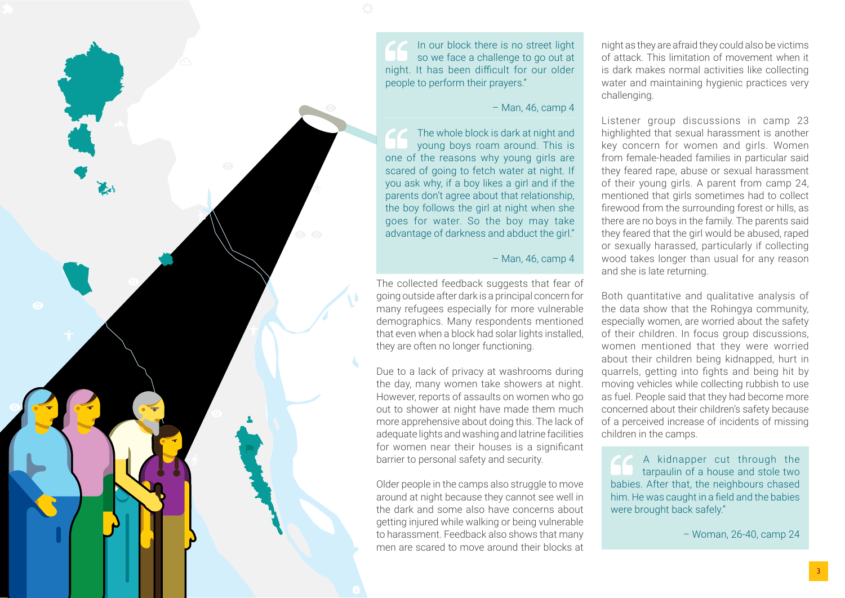

In our block there is no street light so we face a challenge to go out at night. It has been difficult for our older people to perform their prayers."

#### – Man, 46, camp 4

The whole block is dark at night and young boys roam around. This is one of the reasons why young girls are scared of going to fetch water at night. If you ask why, if a boy likes a girl and if the parents don't agree about that relationship, the boy follows the girl at night when she goes for water. So the boy may take advantage of darkness and abduct the girl."

## – Man, 46, camp 4

The collected feedback suggests that fear of going outside after dark is a principal concern for many refugees especially for more vulnerable demographics. Many respondents mentioned that even when a block had solar lights installed, they are often no longer functioning.

Due to a lack of privacy at washrooms during the day, many women take showers at night. However, reports of assaults on women who go out to shower at night have made them much more apprehensive about doing this. The lack of adequate lights and washing and latrine facilities for women near their houses is a significant barrier to personal safety and security.

Older people in the camps also struggle to move around at night because they cannot see well in the dark and some also have concerns about getting injured while walking or being vulnerable to harassment. Feedback also shows that many men are scared to move around their blocks at

night as they are afraid they could also be victims of attack. This limitation of movement when it is dark makes normal activities like collecting water and maintaining hygienic practices very challenging.

Listener group discussions in camp 23 highlighted that sexual harassment is another key concern for women and girls. Women from female-headed families in particular said they feared rape, abuse or sexual harassment of their young girls. A parent from camp 24, mentioned that girls sometimes had to collect firewood from the surrounding forest or hills, as there are no boys in the family. The parents said they feared that the girl would be abused, raped or sexually harassed, particularly if collecting wood takes longer than usual for any reason and she is late returning.

Both quantitative and qualitative analysis of the data show that the Rohingya community, especially women, are worried about the safety of their children. In focus group discussions, women mentioned that they were worried about their children being kidnapped, hurt in quarrels, getting into fights and being hit by moving vehicles while collecting rubbish to use as fuel. People said that they had become more concerned about their children's safety because of a perceived increase of incidents of missing children in the camps.

A kidnapper cut through the tarpaulin of a house and stole two babies. After that, the neighbours chased him. He was caught in a field and the babies were brought back safely."

– Woman, 26-40, camp 24